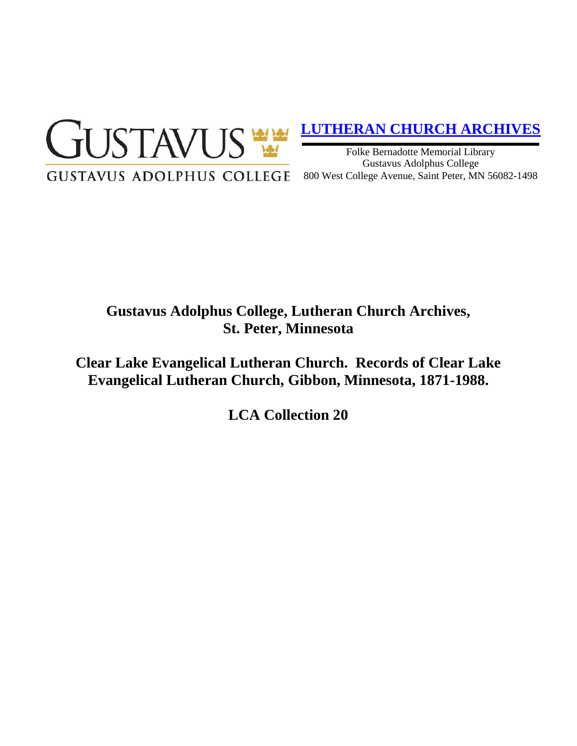

# **[LUTHERAN CHURCH ARCHIVES](http://gustavus.edu/academics/library/archives/)**

Folke Bernadotte Memorial Library Gustavus Adolphus College 800 West College Avenue, Saint Peter, MN 56082-1498

# **Gustavus Adolphus College, Lutheran Church Archives, St. Peter, Minnesota**

**Clear Lake Evangelical Lutheran Church. Records of Clear Lake Evangelical Lutheran Church, Gibbon, Minnesota, 1871-1988.**

**LCA Collection 20**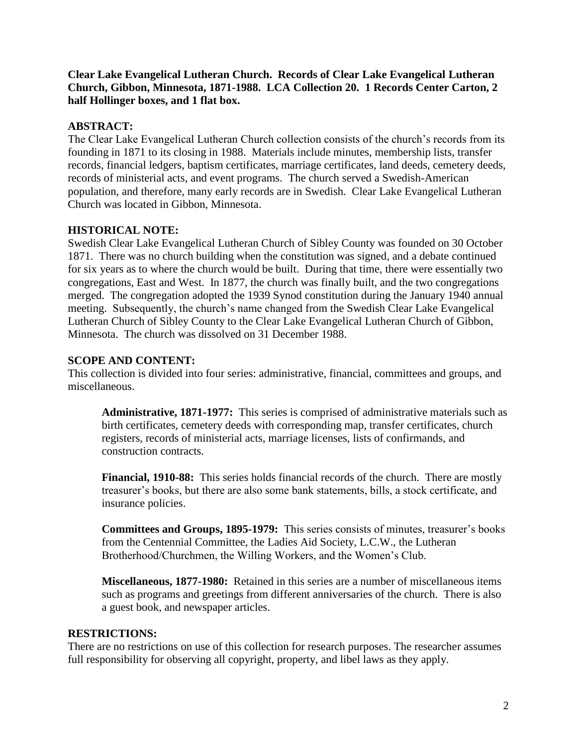**Clear Lake Evangelical Lutheran Church. Records of Clear Lake Evangelical Lutheran Church, Gibbon, Minnesota, 1871-1988. LCA Collection 20. 1 Records Center Carton, 2 half Hollinger boxes, and 1 flat box.**

# **ABSTRACT:**

The Clear Lake Evangelical Lutheran Church collection consists of the church's records from its founding in 1871 to its closing in 1988. Materials include minutes, membership lists, transfer records, financial ledgers, baptism certificates, marriage certificates, land deeds, cemetery deeds, records of ministerial acts, and event programs. The church served a Swedish-American population, and therefore, many early records are in Swedish. Clear Lake Evangelical Lutheran Church was located in Gibbon, Minnesota.

# **HISTORICAL NOTE:**

Swedish Clear Lake Evangelical Lutheran Church of Sibley County was founded on 30 October 1871. There was no church building when the constitution was signed, and a debate continued for six years as to where the church would be built. During that time, there were essentially two congregations, East and West. In 1877, the church was finally built, and the two congregations merged. The congregation adopted the 1939 Synod constitution during the January 1940 annual meeting. Subsequently, the church's name changed from the Swedish Clear Lake Evangelical Lutheran Church of Sibley County to the Clear Lake Evangelical Lutheran Church of Gibbon, Minnesota. The church was dissolved on 31 December 1988.

## **SCOPE AND CONTENT:**

This collection is divided into four series: administrative, financial, committees and groups, and miscellaneous.

**Administrative, 1871-1977:** This series is comprised of administrative materials such as birth certificates, cemetery deeds with corresponding map, transfer certificates, church registers, records of ministerial acts, marriage licenses, lists of confirmands, and construction contracts.

**Financial, 1910-88:** This series holds financial records of the church. There are mostly treasurer's books, but there are also some bank statements, bills, a stock certificate, and insurance policies.

**Committees and Groups, 1895-1979:** This series consists of minutes, treasurer's books from the Centennial Committee, the Ladies Aid Society, L.C.W., the Lutheran Brotherhood/Churchmen, the Willing Workers, and the Women's Club.

**Miscellaneous, 1877-1980:** Retained in this series are a number of miscellaneous items such as programs and greetings from different anniversaries of the church. There is also a guest book, and newspaper articles.

## **RESTRICTIONS:**

There are no restrictions on use of this collection for research purposes. The researcher assumes full responsibility for observing all copyright, property, and libel laws as they apply.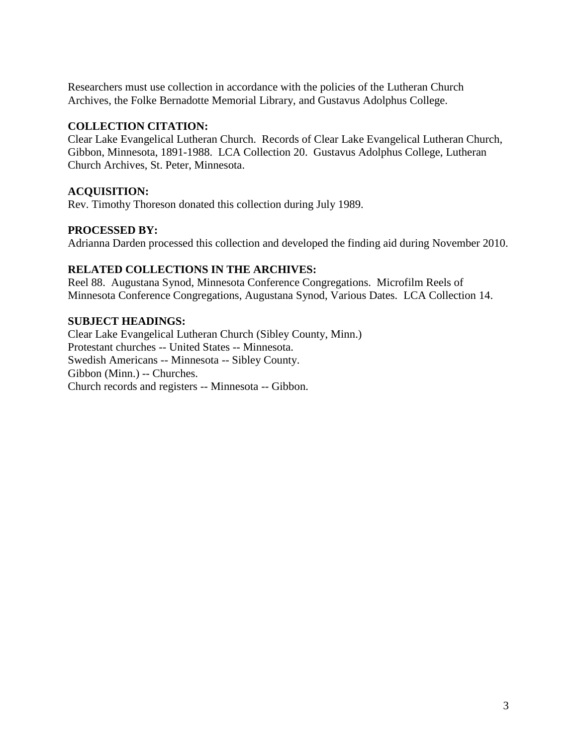Researchers must use collection in accordance with the policies of the Lutheran Church Archives, the Folke Bernadotte Memorial Library, and Gustavus Adolphus College.

#### **COLLECTION CITATION:**

Clear Lake Evangelical Lutheran Church. Records of Clear Lake Evangelical Lutheran Church, Gibbon, Minnesota, 1891-1988. LCA Collection 20. Gustavus Adolphus College, Lutheran Church Archives, St. Peter, Minnesota.

## **ACQUISITION:**

Rev. Timothy Thoreson donated this collection during July 1989.

## **PROCESSED BY:**

Adrianna Darden processed this collection and developed the finding aid during November 2010.

## **RELATED COLLECTIONS IN THE ARCHIVES:**

Reel 88. Augustana Synod, Minnesota Conference Congregations. Microfilm Reels of Minnesota Conference Congregations, Augustana Synod, Various Dates. LCA Collection 14.

## **SUBJECT HEADINGS:**

Clear Lake Evangelical Lutheran Church (Sibley County, Minn.) Protestant churches -- United States -- Minnesota. Swedish Americans -- Minnesota -- Sibley County. Gibbon (Minn.) -- Churches. Church records and registers -- Minnesota -- Gibbon.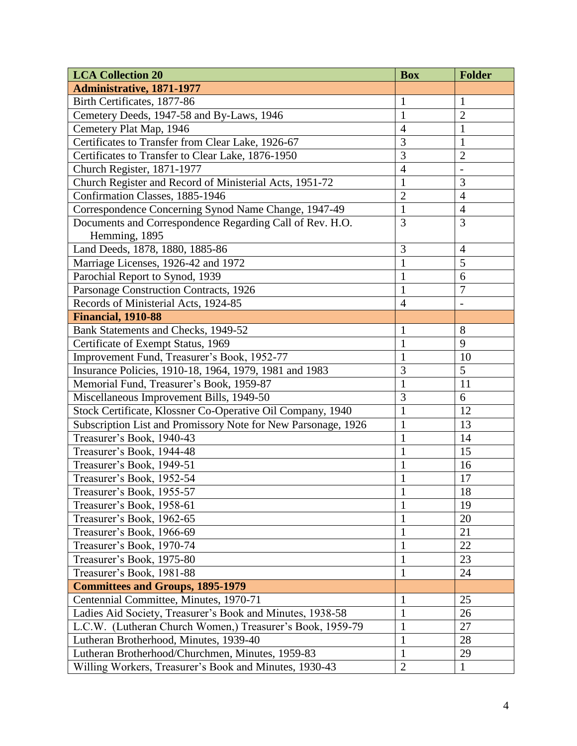| <b>LCA Collection 20</b>                                      | <b>Box</b>     | <b>Folder</b>  |
|---------------------------------------------------------------|----------------|----------------|
| <b>Administrative, 1871-1977</b>                              |                |                |
| Birth Certificates, 1877-86                                   | $\mathbf{1}$   | $\mathbf{1}$   |
| Cemetery Deeds, 1947-58 and By-Laws, 1946                     | $\mathbf{1}$   | $\overline{2}$ |
| Cemetery Plat Map, 1946                                       | $\overline{4}$ | $\mathbf{1}$   |
| Certificates to Transfer from Clear Lake, 1926-67             | 3              | $\mathbf{1}$   |
| Certificates to Transfer to Clear Lake, 1876-1950             | 3              | $\overline{2}$ |
| Church Register, 1871-1977                                    | $\overline{4}$ |                |
| Church Register and Record of Ministerial Acts, 1951-72       | $\mathbf{1}$   | $\mathfrak{Z}$ |
| Confirmation Classes, 1885-1946                               | $\overline{2}$ | $\overline{4}$ |
| Correspondence Concerning Synod Name Change, 1947-49          | $\mathbf{1}$   | $\overline{4}$ |
| Documents and Correspondence Regarding Call of Rev. H.O.      | 3              | $\overline{3}$ |
| Hemming, 1895                                                 |                |                |
| Land Deeds, 1878, 1880, 1885-86                               | 3              | $\overline{4}$ |
| Marriage Licenses, 1926-42 and 1972                           | $\mathbf{1}$   | 5              |
| Parochial Report to Synod, 1939                               | $\mathbf{1}$   | 6              |
| Parsonage Construction Contracts, 1926                        | $\mathbf{1}$   | $\overline{7}$ |
| Records of Ministerial Acts, 1924-85                          | $\overline{4}$ |                |
| <b>Financial, 1910-88</b>                                     |                |                |
| Bank Statements and Checks, 1949-52                           | $\mathbf{1}$   | 8              |
| Certificate of Exempt Status, 1969                            | $\mathbf{1}$   | 9              |
| Improvement Fund, Treasurer's Book, 1952-77                   | $\mathbf{1}$   | 10             |
| Insurance Policies, 1910-18, 1964, 1979, 1981 and 1983        | 3              | 5              |
| Memorial Fund, Treasurer's Book, 1959-87                      | $\mathbf{1}$   | 11             |
| Miscellaneous Improvement Bills, 1949-50                      | $\overline{3}$ | 6              |
| Stock Certificate, Klossner Co-Operative Oil Company, 1940    | $\mathbf{1}$   | 12             |
| Subscription List and Promissory Note for New Parsonage, 1926 | $\mathbf{1}$   | 13             |
| Treasurer's Book, 1940-43                                     | $\mathbf{1}$   | 14             |
| Treasurer's Book, 1944-48                                     | $\mathbf{1}$   | 15             |
| Treasurer's Book, 1949-51                                     | $\mathbf{1}$   | 16             |
| Treasurer's Book, 1952-54                                     | $\mathbf{1}$   | 17             |
| Treasurer's Book, 1955-57                                     | $\mathbf{1}$   | 18             |
| Treasurer's Book, 1958-61                                     | $\mathbf{1}$   | 19             |
| Treasurer's Book, 1962-65                                     | $\mathbf{1}$   | 20             |
| Treasurer's Book, 1966-69                                     | $\mathbf{1}$   | 21             |
| Treasurer's Book, 1970-74                                     | 1              | 22             |
| Treasurer's Book, 1975-80                                     | $\mathbf{1}$   | 23             |
| Treasurer's Book, 1981-88                                     | $\mathbf{1}$   | 24             |
| <b>Committees and Groups, 1895-1979</b>                       |                |                |
| Centennial Committee, Minutes, 1970-71                        | $\mathbf{1}$   | 25             |
| Ladies Aid Society, Treasurer's Book and Minutes, 1938-58     | $\mathbf{1}$   | 26             |
| L.C.W. (Lutheran Church Women,) Treasurer's Book, 1959-79     | $\mathbf{1}$   | 27             |
| Lutheran Brotherhood, Minutes, 1939-40                        | $\mathbf{1}$   | 28             |
| Lutheran Brotherhood/Churchmen, Minutes, 1959-83              | $\mathbf{1}$   | 29             |
| Willing Workers, Treasurer's Book and Minutes, 1930-43        | $\mathbf{2}$   | $\mathbf{1}$   |